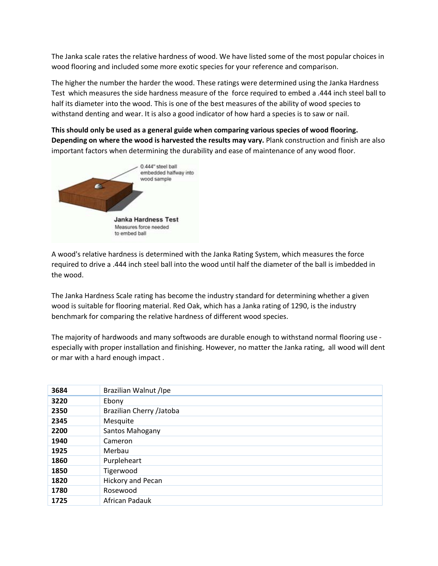The Janka scale rates the relative hardness of wood. We have listed some of the most popular choices in wood flooring and included some more exotic species for your reference and comparison.

The higher the number the harder the wood. These ratings were determined using the Janka Hardness Test which measures the side hardness measure of the force required to embed a .444 inch steel ball to half its diameter into the wood. This is one of the best measures of the ability of wood species to withstand denting and wear. It is also a good indicator of how hard a species is to saw or nail.

**This should only be used as a general guide when comparing various species of wood flooring. Depending on where the wood is harvested the results may vary.** Plank construction and finish are also important factors when determining the durability and ease of maintenance of any wood floor.



A wood's relative hardness is determined with the Janka Rating System, which measures the force required to drive a .444 inch steel ball into the wood until half the diameter of the ball is imbedded in the wood.

The Janka Hardness Scale rating has become the industry standard for determining whether a given wood is suitable for flooring material. Red Oak, which has a Janka rating of 1290, is the industry benchmark for comparing the relative hardness of different wood species.

The majority of hardwoods and many softwoods are durable enough to withstand normal flooring use especially with proper installation and finishing. However, no matter the Janka rating, all wood will dent or mar with a hard enough impact .

| 3684 | Brazilian Walnut /Ipe    |
|------|--------------------------|
| 3220 | Ebony                    |
| 2350 | Brazilian Cherry /Jatoba |
| 2345 | Mesquite                 |
| 2200 | Santos Mahogany          |
| 1940 | Cameron                  |
| 1925 | Merbau                   |
| 1860 | Purpleheart              |
| 1850 | Tigerwood                |
| 1820 | Hickory and Pecan        |
| 1780 | Rosewood                 |
| 1725 | African Padauk           |